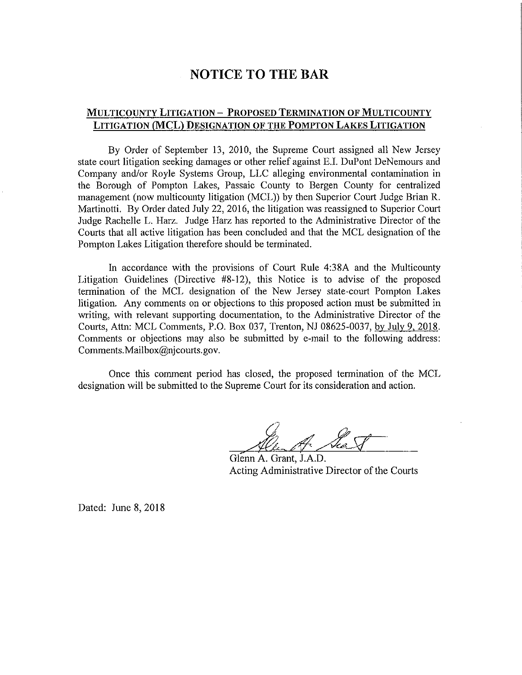## **NOTICE TO THE BAR**

## **MULTICOUNTY LITIGATION - PROPOSED TERMINATION OF MULTICOUNTY LITIGATION (MCL) DESIGNATION OF THE POMPTON LAKES LITIGATION**

By Order of September 13, 2010, the Supreme Court assigned all New Jersey state court litigation seeking damages or other relief against E.I. DuPont DeNemours and Company and/or Royle Systems Group, LLC alleging environmental contamination in the Borough of Pompton Lakes, Passaic County to Bergen County for centralized management (now multicounty litigation (MCL)) by then Superior Court Judge Brian R. Martinotti. By Order dated July 22, 2016, the litigation was reassigned to Superior Court Judge Rachelle L. Harz. Judge Harz has reported to the Administrative Director of the Courts that all active litigation has been concluded and that the MCL designation of the Pompton Lakes Litigation therefore should be terminated.

In accordance with the provisions of Court Rule 4:38A and the Multicounty Litigation Guidelines (Directive #8-12), this Notice is to advise of the proposed termination of the MCL designation of the New Jersey state-court Pompton Lakes litigation. Any comments on or objections to this proposed action must be submitted in writing, with relevant supporting documentation, to the Administrative Director of the Courts, Attn: MCL Comments, P.O. Box 037, Trenton, NJ 08625-0037, by July 9, 2018. Comments or objections may also be submitted by e-mail to the following address: Comments.Mailbox@njcourts.gov.

Once this comment period has closed, the proposed termination of the MCL designation will be submitted to the Supreme Court for its consideration and action.

See S

Glenn A. Grant, J.A.D. Acting Administrative Director of the Courts

Dated: June 8, 2018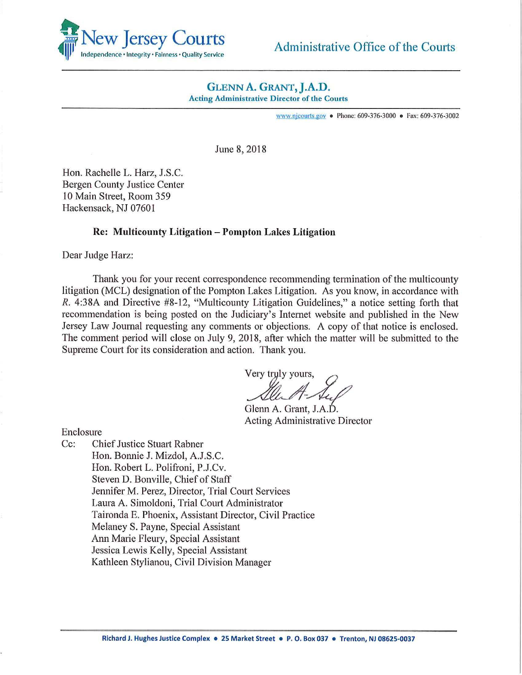

## Administrative Office of the Courts

# **GLENN A. GRANT, J.A.D.**<br>Acting Administrative Director of the Courts

www.njcourts.gov • Phone: 609-376-3000 • Fax: 609-376-3002

June 8, 2018

Hon. Rachelle L. Harz, J.S.C. Bergen County Justice Center 10 Main Street, Room 359 Hackensack, NJ 07601

#### **Re: Multicounty Litigation** - **Pompton Lakes Litigation**

Dear Judge Harz:

Thank you for your recent correspondence recommending termination of the multicounty litigation (MCL) designation of the Pompton Lakes Litigation. As you know, in accordance with *R.* 4:38A and Directive #8-12, "Multicounty Litigation Guidelines," a notice setting forth that recommendation is being posted on the Judiciary's Internet website and published in the New Jersey Law Journal requesting any comments or objections. A copy of that notice is enclosed. The comment period will close on July 9, 2018, after which the matter will be submitted to the Supreme Court for its consideration and action. Thank you.

on. Thank you.<br>Very tryly yours,<br>Alu A-Au,

Glenn A. Grant, J.A.D. Acting Administrative Director

Enclosure

Cc: Chief Justice Stuart Rabner Hon. Bonnie J. Mizdol, A.J.S.C. Hon. Robert L. Polifroni, P.J.Cv. Steven D. Bonville, Chief of Staff Jennifer M. Perez, Director, Trial Court Services Laura A. Simoldoni, Trial Court Administrator Taironda E. Phoenix, Assistant Director, Civil Practice Melaney S. Payne, Special Assistant Ann Marie Fleury, Special Assistant Jessica Lewis Kelly, Special Assistant Kathleen Stylianou, Civil Division Manager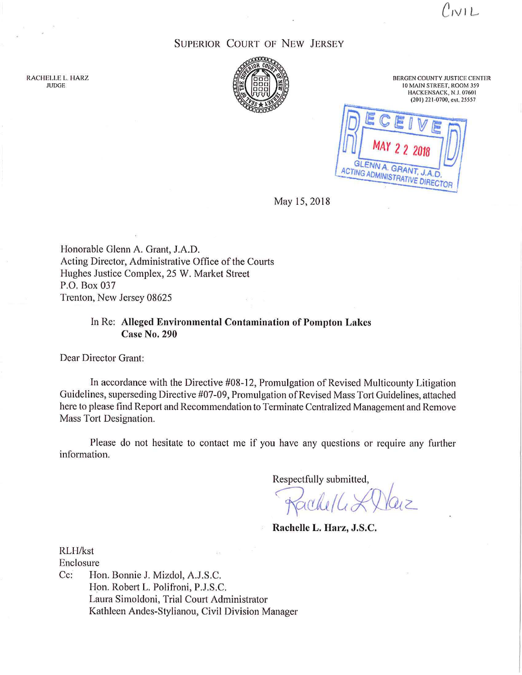$C$ nvi $L$ 

### SUPERIOR COURT OF NEW JERSEY



BERGEN COUNTY JUSTICE CENTER 10 MAIN STREET, ROOM 359 HACKENSACK, N.J. 07601 (201) 221-0700, ext. 25557

GLENN A. GRAN ACTING ADMINISTRATIVE DIRECTOR

May 15, 2018

Honorable Glenn A. Grant, J.A.D. Acting Director, Administrative Office of the Courts Hughes Justice Complex, 25 W. Market Street P.O. Box 037 Trenton, New Jersey 08625

#### In Re: **Alleged Environmental Contamination of Pompton Lakes Case No. 290**

Dear Director Grant:

In accordance with the Directive #08-12, Promulgation of Revised Multicounty Litigation Guidelines, superseding Directive #07-09, Promulgation of Revised Mass Tort Guidelines, attached here to please find Report and Recommendation to Terminate Centralized Management and Remove Mass Tort Designation.

Please do not hesitate to contact me if you have any questions or require any further information.

Respectfully submitted,

Kachell & Daiz

**Rachelle L. Harz, J.S.C.** 

RLH/kst Enclosure Cc: Hon. Bonnie J. Mizdol, A.J.S.C. Hon. Robert L. Polifroni, P.J.S.C. Laura Simoldoni, Trial Court Administrator Kathleen Andes-Stylianou, Civil Division Manager

RACHELLE L. HARZ JUDGE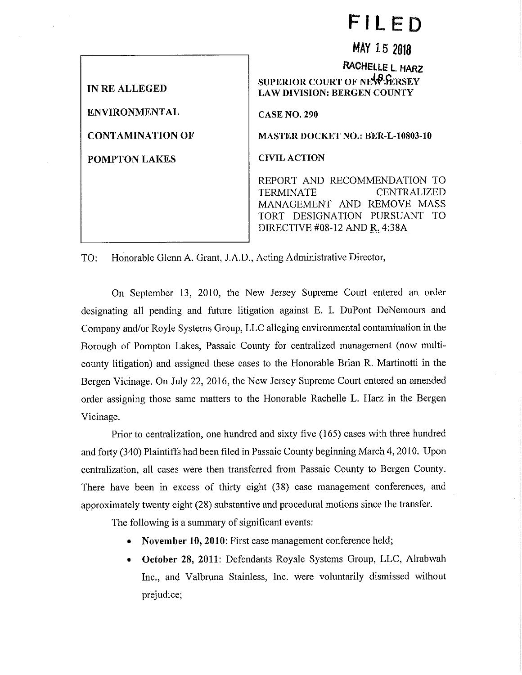# **FILED**

**MAY 15 2018** 

**IN RE ALLEGED ENVIRONMENTAL CONTAMINATION OF POMPTON LAKES CASENO.290 CIVIL ACTION** 

**RACHELLE L. HARZ SUPERIOR COURT OF NEW FERSEY LAW DIVISION: BERGEN COUNTY MASTER DOCKET NO.: BER-L-10803-10**  REPORT AND RECOMMENDATION TO TERMINATE CENTRALIZED MANAGEMENT AND REMOVE MASS TORT DESIGNATION PURSUANT TO DIRECTIVE #08-12 AND R. 4:38A

TO: Honorable Glenn A. Grant, J.A.D., Acting Administrative Director,

On September 13, 2010, the New Jersey Supreme Comt entered an order designating all pending and future litigation against E. I. DuPont DeNemours and Company and/or Royle Systems Group, LLC alleging environmental contamination in the Borough of Pompton Lakes, Passaic County for centralized management (now multicounty litigation) and assigned these cases to the Honorable Brian R. Martinotti in the Bergen Vicinage. On July 22, 2016, the New Jersey Supreme Court entered an amended order assigning those same matters to the Honorable Rachelle L. Harz in the Bergen Vicinage.

Prior to centralization, one hundred and sixty five (165) cases with three hundred and forty (340) Plaintiffs had been filed in Passaic County beginning March 4, 2010. Upon centralization, all cases were then transferred from Passaic County to Bergen County. There have been in excess of thirty eight (38) case management conferences, and approximately twenty eight (28) substantive and procedural motions since the transfer.

The following is a summary of significant events:

- **November 10, 2010:** First case management conference held;
- **October 28, 2011:** Defendants Royale Systems Group, LLC, Alrabwah Inc., and Valbruna Stainless, Inc. were voluntarily dismissed without prejudice;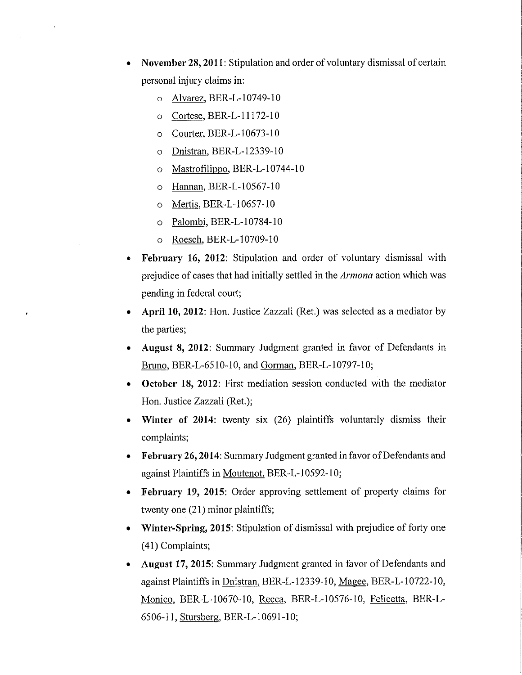- **November 28, 2011:** Stipulation and order of voluntary dismissal of certain personal injury claims in:
	- o Alvarez, BER-L-10749-10
	- o Cortese. BER-L-11172-10
	- o Courter, BER-L-10673-10
	- o Dnistran. BER-L-12339-10
	- o Mastrofilippo, BER-L-10744-10
	- o Hannan. BER-L-10567-10
	- o Mertis, BER-L-10657-10
	- o Palombi, BER-L-10784-10
	- o Roesch, BER-L-10709-10
- **February 16, 2012:** Stipulation and order of voluntary dismissal with prejudice of cases that had initially settled in the *Annona* action which was pending in federal court;
- **April 10, 2012:** Hon. Justice Zazzali (Ret.) was selected as a mediator by the parties;
- **August 8, 2012:** Summary Judgment granted in favor of Defendants in Bruno, BER-L-6510-10, and Gorman, BER-L-10797-10;
- **October 18, 2012:** First mediation session conducted with the mediator Hon. Justice Zazzali (Ret.);
- **Winter of 2014:** twenty six (26) plaintiffs voluntarily dismiss their complaints;
- **February 26, 2014:** Summary Judgment granted in favor of Defendants and against Plaintiffs in Moutenot, BER-L-10592-10;
- **February 19, 2015:** Order approving settlement of property claims for twenty one (21) minor plaintiffs;
- **Winter-Spring, 2015:** Stipulation of dismissal with prejudice of forty one ( 41) Complaints;
- **August 17, 2015:** Summary Judgment granted in favor of Defendants and against Plaintiffs in Dnistran, BER-L-12339-10, Magee, BER-L-10722-10, Monico, BER-L-10670-10, Recca, BER-L-10576-10, Felicetta, BER-L-6506-11, Stursberg. BER-L-10691-10;